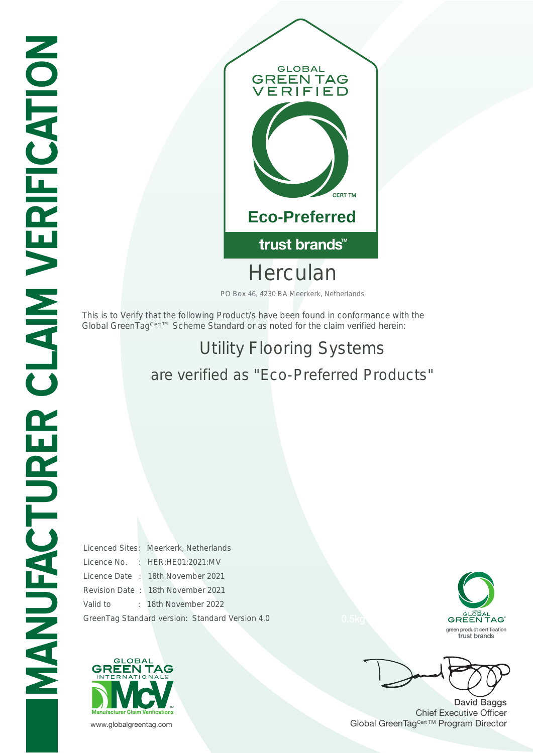

Herculan

PO Box 46, 4230 BA Meerkerk, Netherlands

This is to Verify that the following Product/s have been found in conformance with the Global GreenTag<sup>Cert™</sup> Scheme Standard or as noted for the claim verified herein:

## Utility Flooring Systems are verified as "Eco-Preferred Products"

Licenced Sites: Meerkerk, Netherlands Licence No. : HER:HE01:2021:MV Licence Date : 18th November 2021 Revision Date : 18th November 2021 Valid to : 18th November 2022 GreenTag Standard version: Standard Version 4.0





David Baggs Chief Executive Officer www.globalgreentag.com **Program Director** Clobal GreenTag<sup>Cert TM</sup> Program Director